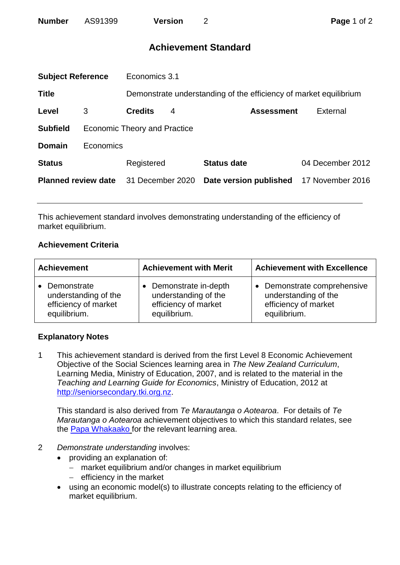# **Achievement Standard**

| <b>Subject Reference</b>   |                                     | Economics 3.1    |   |                                                                   |                  |  |
|----------------------------|-------------------------------------|------------------|---|-------------------------------------------------------------------|------------------|--|
| <b>Title</b>               |                                     |                  |   | Demonstrate understanding of the efficiency of market equilibrium |                  |  |
| Level                      | 3                                   | <b>Credits</b>   | 4 | <b>Assessment</b>                                                 | External         |  |
| <b>Subfield</b>            | <b>Economic Theory and Practice</b> |                  |   |                                                                   |                  |  |
| <b>Domain</b>              | Economics                           |                  |   |                                                                   |                  |  |
| <b>Status</b>              |                                     | Registered       |   | <b>Status date</b>                                                | 04 December 2012 |  |
| <b>Planned review date</b> |                                     | 31 December 2020 |   | Date version published                                            | 17 November 2016 |  |
|                            |                                     |                  |   |                                                                   |                  |  |

This achievement standard involves demonstrating understanding of the efficiency of market equilibrium.

## **Achievement Criteria**

| <b>Achievement</b>   | <b>Achievement with Merit</b> | <b>Achievement with Excellence</b> |  |
|----------------------|-------------------------------|------------------------------------|--|
| • Demonstrate        | • Demonstrate in-depth        | Demonstrate comprehensive          |  |
| understanding of the | understanding of the          | understanding of the               |  |
| efficiency of market | efficiency of market          | efficiency of market               |  |
| equilibrium.         | equilibrium.                  | equilibrium.                       |  |

## **Explanatory Notes**

1 This achievement standard is derived from the first Level 8 Economic Achievement Objective of the Social Sciences learning area in *The New Zealand Curriculum*, Learning Media, Ministry of Education, 2007, and is related to the material in the *Teaching and Learning Guide for Economics*, Ministry of Education, 2012 at [http://seniorsecondary.tki.org.nz.](http://seniorsecondary.tki.org.nz/)

This standard is also derived from *Te Marautanga o Aotearoa*. For details of *Te Marautanga o Aotearoa* achievement objectives to which this standard relates, see the [Papa Whakaako](http://tmoa.tki.org.nz/Te-Marautanga-o-Aotearoa/Taumata-Matauranga-a-Motu-Ka-Taea) for the relevant learning area.

- 2 *Demonstrate understanding* involves:
	- providing an explanation of:
		- market equilibrium and/or changes in market equilibrium
		- $-$  efficiency in the market
	- using an economic model(s) to illustrate concepts relating to the efficiency of market equilibrium.